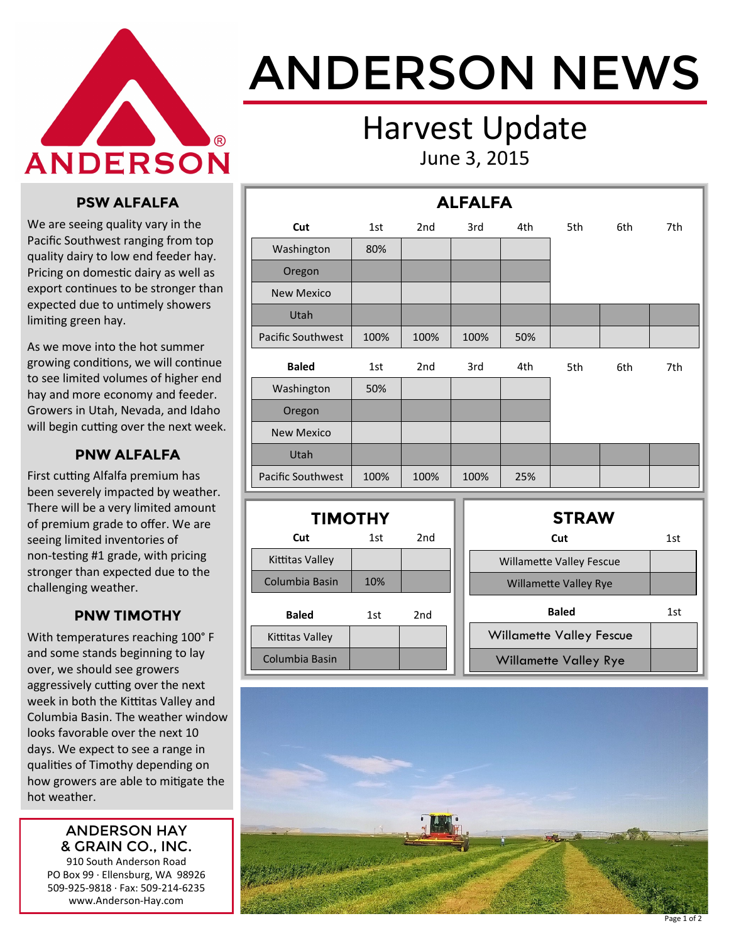

# ANDERSON NEWS

### Harvest Update June 3, 2015

#### **PSW ALFALFA**

We are seeing quality vary in the Pacific Southwest ranging from top quality dairy to low end feeder hay. Pricing on domestic dairy as well as export continues to be stronger than expected due to untimely showers limiting green hay.

As we move into the hot summer growing conditions, we will continue to see limited volumes of higher end hay and more economy and feeder. Growers in Utah, Nevada, and Idaho will begin cutting over the next week.

#### **PNW ALFALFA**

First cutting Alfalfa premium has been severely impacted by weather. There will be a very limited amount of premium grade to offer. We are seeing limited inventories of non-testing #1 grade, with pricing stronger than expected due to the challenging weather.

#### **PNW TIMOTHY**

With temperatures reaching 100° F and some stands beginning to lay over, we should see growers aggressively cutting over the next week in both the Kittitas Valley and Columbia Basin. The weather window looks favorable over the next 10 days. We expect to see a range in qualities of Timothy depending on how growers are able to mitigate the hot weather.

#### ANDERSON HAY & GRAIN CO., INC.

910 South Anderson Road PO Box 99 · Ellensburg, WA 98926 509-925-9818 · Fax: 509-214-6235 www.Anderson-Hay.com

| <b>ALFALFA</b>    |      |                 |      |     |     |     |     |  |
|-------------------|------|-----------------|------|-----|-----|-----|-----|--|
| Cut               | 1st  | 2 <sub>nd</sub> | 3rd  | 4th | 5th | 6th | 7th |  |
| Washington        | 80%  |                 |      |     |     |     |     |  |
| Oregon            |      |                 |      |     |     |     |     |  |
| <b>New Mexico</b> |      |                 |      |     |     |     |     |  |
| Utah              |      |                 |      |     |     |     |     |  |
| Pacific Southwest | 100% | 100%            | 100% | 50% |     |     |     |  |
| <b>Baled</b>      | 1st  | 2nd             | 3rd  | 4th | 5th | 6th | 7th |  |
| Washington        | 50%  |                 |      |     |     |     |     |  |
| Oregon            |      |                 |      |     |     |     |     |  |
| <b>New Mexico</b> |      |                 |      |     |     |     |     |  |
| Utah              |      |                 |      |     |     |     |     |  |
| Pacific Southwest | 100% | 100%            | 100% | 25% |     |     |     |  |
|                   |      |                 |      |     |     |     |     |  |

| <b>TIMOTHY</b>  |     |                 |  |  |  |  |  |
|-----------------|-----|-----------------|--|--|--|--|--|
| Cut             | 1st | 2 <sub>nd</sub> |  |  |  |  |  |
| Kittitas Valley |     |                 |  |  |  |  |  |
| Columbia Basin  | 10% |                 |  |  |  |  |  |
| <b>Baled</b>    | 1st | 2nd             |  |  |  |  |  |
| Kittitas Valley |     |                 |  |  |  |  |  |
| Columbia Basin  |     |                 |  |  |  |  |  |

| <b>STRAW</b>                    |     |
|---------------------------------|-----|
| Cut                             | 1st |
| <b>Willamette Valley Fescue</b> |     |
| <b>Willamette Valley Rye</b>    |     |
| <b>Baled</b>                    | 1st |
| <b>Willamette Valley Fescue</b> |     |
| Willamette Valley Rye           |     |
|                                 |     |